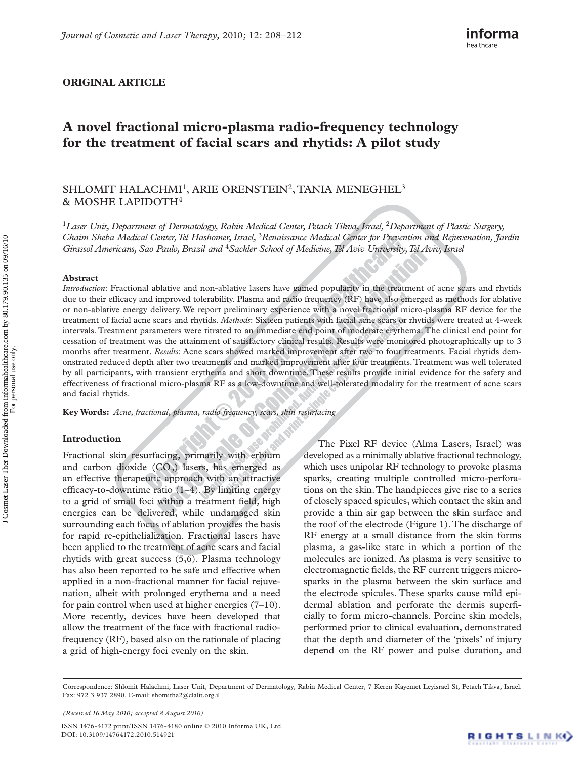## **ORIGINAL ARTICLE**

# **A novel fractional micro-plasma radio-frequency technology for the treatment of facial scars and rhytids: A pilot study**

# SHLOMIT HALACHMI<sup>1</sup>, ARIE ORENSTEIN<sup>2</sup>, TANIA MENEGHEL<sup>3</sup> & MOSHE LAPIDOTH<sup>4</sup>

<sup>1</sup> Laser Unit, Department of Dermatology, Rabin Medical Center, Petach Tikva, Israel, <sup>2</sup> Department of Plastic Surgery, Chaim Sheba Medical Center, Tel Hashomer, Israel, <sup>3</sup> Renaissance Medical Center for Prevention and Rejuvenation, Jardin *Girassol Americans, Sao Paulo, Brazil and* <sup>4</sup>*Sackler School of Medicine, Tel Aviv University, Tel Aviv, Israel* 

#### **Abstract**

*Introduction*: Fractional ablative and non-ablative lasers have gained popularity in the treatment of acne scars and rhytids due to their efficacy and improved tolerability. Plasma and radio frequency (RF) have also emerged as methods for ablative or non-ablative energy delivery. We report preliminary experience with a novel fractional micro-plasma RF device for the treatment of facial acne scars and rhytids. *Methods*: Sixteen patients with facial acne scars or rhytids were treated at 4-week intervals. Treatment parameters were titrated to an immediate end point of moderate erythema. The clinical end point for cessation of treatment was the attainment of satisfactory clinical results. Results were monitored photographically up to 3 months after treatment. *Results*: Acne scars showed marked improvement after two to four treatments. Facial rhytids demonstrated reduced depth after two treatments and marked improvement after four treatments. Treatment was well tolerated by all participants, with transient erythema and short downtime. These results provide initial evidence for the safety and effectiveness of fractional micro-plasma RF as a low-downtime and well-tolerated modality for the treatment of acne scars and facial rhytids.

**Key Words:** *Acne , fractional , plasma , radio frequency , scars , skin resurfacing* 

### **Introduction**

Fractional skin resurfacing, primarily with erbium and carbon dioxide  $(CO<sub>2</sub>)$  lasers, has emerged as an effective therapeutic approach with an attractive efficacy-to-downtime ratio  $(1-4)$ . By limiting energy to a grid of small foci within a treatment field, high energies can be delivered, while undamaged skin surrounding each focus of ablation provides the basis for rapid re-epithelialization. Fractional lasers have been applied to the treatment of acne scars and facial rhytids with great success (5,6). Plasma technology has also been reported to be safe and effective when applied in a non-fractional manner for facial rejuvenation, albeit with prolonged erythema and a need for pain control when used at higher energies  $(7-10)$ . More recently, devices have been developed that allow the treatment of the face with fractional radiofrequency (RF), based also on the rationale of placing a grid of high-energy foci evenly on the skin.

The Pixel RF device (Alma Lasers, Israel) was developed as a minimally ablative fractional technology, which uses unipolar RF technology to provoke plasma sparks, creating multiple controlled micro-perforations on the skin. The handpieces give rise to a series of closely spaced spicules, which contact the skin and provide a thin air gap between the skin surface and the roof of the electrode (Figure 1). The discharge of RF energy at a small distance from the skin forms plasma, a gas-like state in which a portion of the molecules are ionized. As plasma is very sensitive to electromagnetic fields, the RF current triggers microsparks in the plasma between the skin surface and the electrode spicules. These sparks cause mild epidermal ablation and perforate the dermis superficially to form micro-channels. Porcine skin models, performed prior to clinical evaluation, demonstrated that the depth and diameter of the 'pixels' of injury depend on the RF power and pulse duration, and

*(Received 16 May 2010 ; accepted 8 August 2010 )* 

ISSN 1476-4172 print/ISSN 1476-4180 online © 2010 Informa UK, Ltd. DOI: 10.3109/14764172.2010.514921

Correspondence: Shlomit Halachmi, Laser Unit, Department of Dermatology, Rabin Medical Center, 7 Keren Kayemet Leyisrael St, Petach Tikva, Israel. Fax: 972 3 937 2890. E-mail: shomitha2@clalit.org.il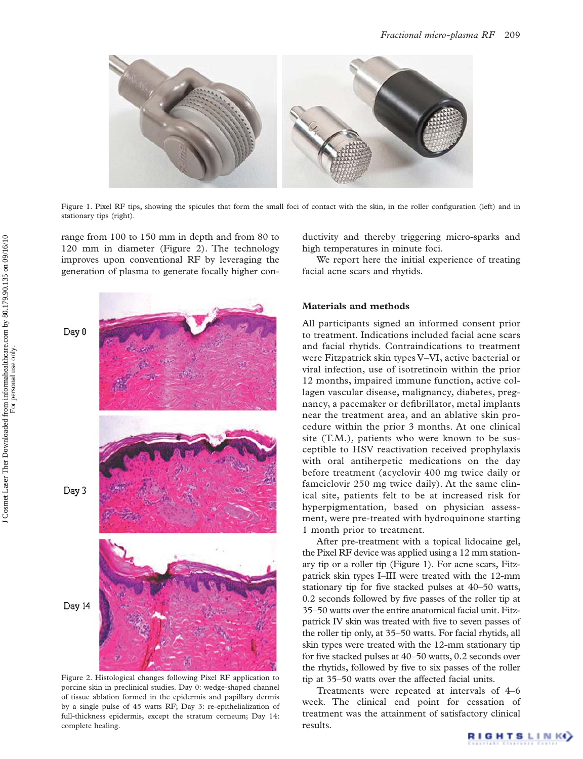

Figure 1. Pixel RF tips, showing the spicules that form the small foci of contact with the skin, in the roller configuration (left) and in stationary tips (right).

range from 100 to 150 mm in depth and from 80 to 120 mm in diameter (Figure 2). The technology improves upon conventional RF by leveraging the generation of plasma to generate focally higher con-



Figure 2.Histological changes following Pixel RF application to porcine skin in preclinical studies. Day 0: wedge-shaped channel of tissue ablation formed in the epidermis and papillary dermis by a single pulse of 45 watts RF; Day 3: re-epithelialization of full-thickness epidermis, except the stratum corneum; Day 14: complete healing.

ductivity and thereby triggering micro-sparks and high temperatures in minute foci.

We report here the initial experience of treating facial acne scars and rhytids.

# **Materials and methods**

All participants signed an informed consent prior to treatment. Indications included facial acne scars and facial rhytids. Contraindications to treatment were Fitzpatrick skin types V-VI, active bacterial or viral infection, use of isotretinoin within the prior 12 months, impaired immune function, active collagen vascular disease, malignancy, diabetes, pregnancy, a pacemaker or defibrillator, metal implants near the treatment area, and an ablative skin procedure within the prior 3 months. At one clinical site (T.M.), patients who were known to be susceptible to HSV reactivation received prophylaxis with oral antiherpetic medications on the day before treatment (acyclovir 400 mg twice daily or famciclovir 250 mg twice daily). At the same clinical site, patients felt to be at increased risk for hyperpigmentation, based on physician assessment, were pre-treated with hydroquinone starting 1 month prior to treatment.

After pre-treatment with a topical lidocaine gel, the Pixel RF device was applied using a 12 mm stationary tip or a roller tip (Figure 1). For acne scars, Fitzpatrick skin types I–III were treated with the 12-mm stationary tip for five stacked pulses at 40-50 watts, 0.2 seconds followed by five passes of the roller tip at 35 – 50 watts over the entire anatomical facial unit. Fitzpatrick IV skin was treated with five to seven passes of the roller tip only, at 35-50 watts. For facial rhytids, all skin types were treated with the 12-mm stationary tip for five stacked pulses at  $40-50$  watts, 0.2 seconds over the rhytids, followed by five to six passes of the roller tip at 35–50 watts over the affected facial units.

Treatments were repeated at intervals of 4–6 week. The clinical end point for cessation of treatment was the attainment of satisfactory clinical results.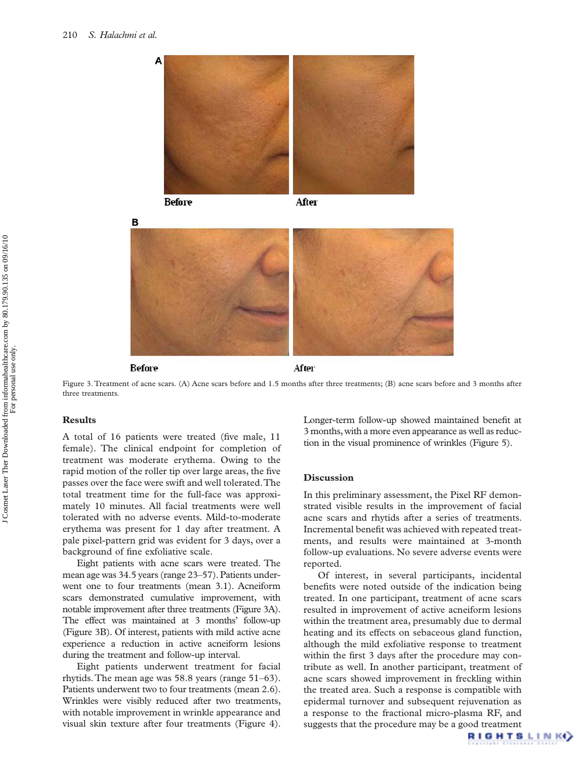



After



#### Before

After

Figure 3.Treatment of acne scars. (A) Acne scars before and 1.5 months after three treatments; (B) acne scars before and 3 months after three treatments.

### **Results**

A total of 16 patients were treated (five male, 11 female). The clinical endpoint for completion of treatment was moderate erythema. Owing to the rapid motion of the roller tip over large areas, the five passes over the face were swift and well tolerated. The total treatment time for the full-face was approximately 10 minutes. All facial treatments were well tolerated with no adverse events. Mild-to-moderate erythema was present for 1 day after treatment. A pale pixel-pattern grid was evident for 3 days, over a background of fine exfoliative scale.

Eight patients with acne scars were treated. The mean age was 34.5 years (range 23–57). Patients underwent one to four treatments (mean 3.1). Acneiform scars demonstrated cumulative improvement, with notable improvement after three treatments (Figure 3A). The effect was maintained at 3 months' follow-up (Figure 3B). Of interest, patients with mild active acne experience a reduction in active acneiform lesions during the treatment and follow-up interval.

Eight patients underwent treatment for facial rhytids. The mean age was  $58.8$  years (range  $51-63$ ). Patients underwent two to four treatments (mean 2.6). Wrinkles were visibly reduced after two treatments, with notable improvement in wrinkle appearance and visual skin texture after four treatments (Figure 4). Longer-term follow-up showed maintained benefit at 3 months, with a more even appearance as well as reduction in the visual prominence of wrinkles (Figure 5).

### **Discussion**

In this preliminary assessment, the Pixel RF demonstrated visible results in the improvement of facial acne scars and rhytids after a series of treatments. Incremental benefit was achieved with repeated treatments, and results were maintained at 3-month follow-up evaluations. No severe adverse events were reported.

Of interest, in several participants, incidental benefits were noted outside of the indication being treated. In one participant, treatment of acne scars resulted in improvement of active acneiform lesions within the treatment area, presumably due to dermal heating and its effects on sebaceous gland function, although the mild exfoliative response to treatment within the first 3 days after the procedure may contribute as well. In another participant, treatment of acne scars showed improvement in freckling within the treated area. Such a response is compatible with epidermal turnover and subsequent rejuvenation as a response to the fractional micro-plasma RF, and suggests that the procedure may be a good treatment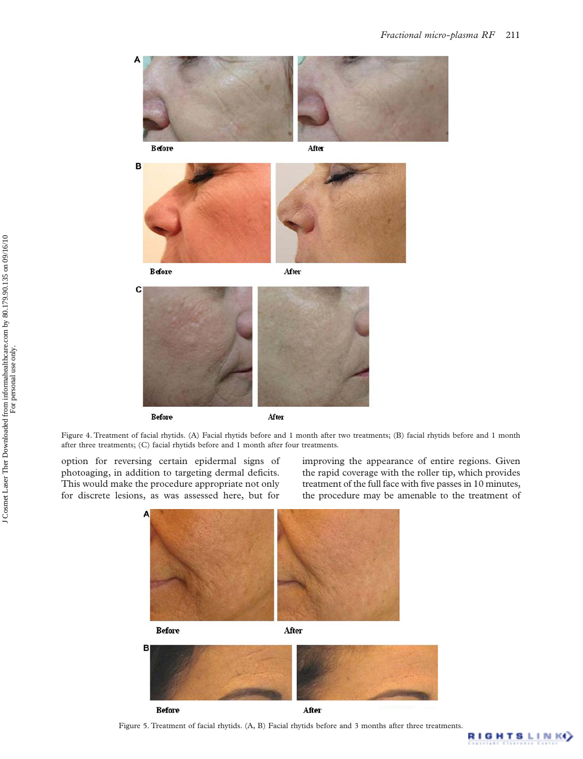

**Before** 





option for reversing certain epidermal signs of photoaging, in addition to targeting dermal deficits. This would make the procedure appropriate not only for discrete lesions, as was assessed here, but for

improving the appearance of entire regions. Given the rapid coverage with the roller tip, which provides treatment of the full face with five passes in 10 minutes, the procedure may be amenable to the treatment of

**RIGHTSLINKO** 



Figure 5.Treatment of facial rhytids. (A, B) Facial rhytids before and 3 months after three treatments.